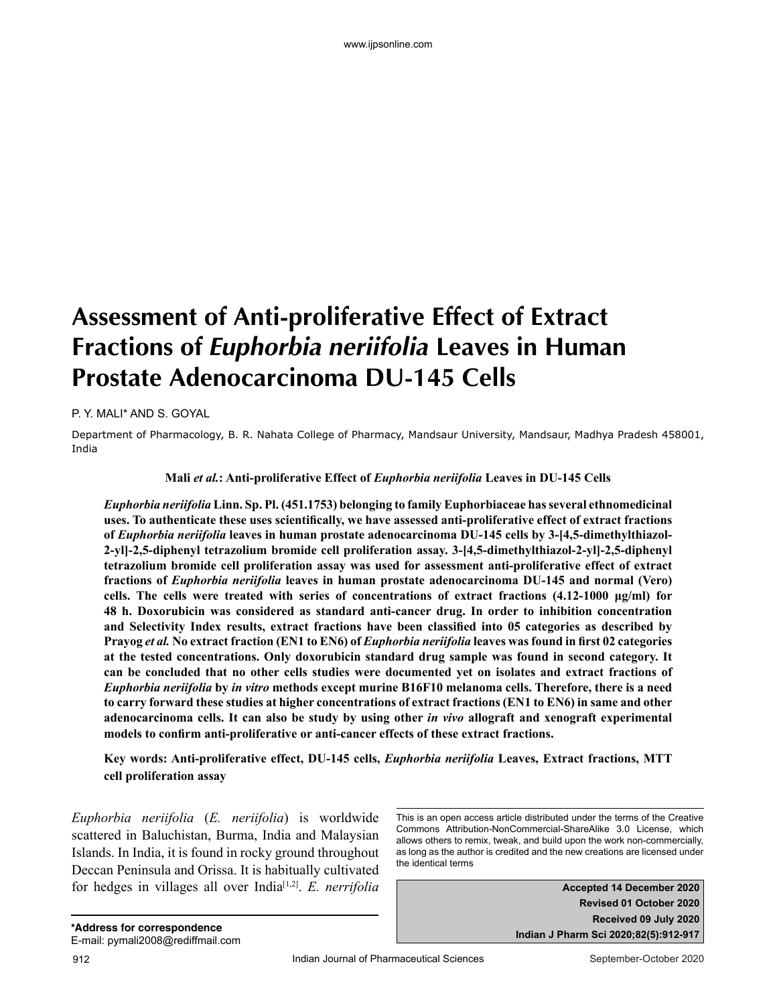# **Assessment of Anti-proliferative Effect of Extract Fractions of Euphorbia neriifolia Leaves in Human Prostate Adenocarcinoma DU-145 Cells**

P. Y. MALI\* AND S. GOYAL

Department of Pharmacology, B. R. Nahata College of Pharmacy, Mandsaur University, Mandsaur, Madhya Pradesh 458001, India

#### **Mali** *et al.***: Anti-proliferative Effect of** *Euphorbia neriifolia* **Leaves in DU-145 Cells**

*Euphorbia neriifolia* **Linn. Sp. Pl. (451.1753) belonging to family Euphorbiaceae has several ethnomedicinal uses. To authenticate these uses scientifically, we have assessed anti-proliferative effect of extract fractions of** *Euphorbia neriifolia* **leaves in human prostate adenocarcinoma DU-145 cells by 3-[4,5-dimethylthiazol-2-yl]-2,5-diphenyl tetrazolium bromide cell proliferation assay. 3-[4,5-dimethylthiazol-2-yl]-2,5-diphenyl tetrazolium bromide cell proliferation assay was used for assessment anti-proliferative effect of extract fractions of** *Euphorbia neriifolia* **leaves in human prostate adenocarcinoma DU-145 and normal (Vero) cells. The cells were treated with series of concentrations of extract fractions (4.12-1000 μg/ml) for 48 h. Doxorubicin was considered as standard anti-cancer drug. In order to inhibition concentration and Selectivity Index results, extract fractions have been classified into 05 categories as described by Prayog** *et al.* **No extract fraction (EN1 to EN6) of** *Euphorbia neriifolia* **leaves was found in first 02 categories at the tested concentrations. Only doxorubicin standard drug sample was found in second category. It can be concluded that no other cells studies were documented yet on isolates and extract fractions of**  *Euphorbia neriifolia* **by** *in vitro* **methods except murine B16F10 melanoma cells. Therefore, there is a need to carry forward these studies at higher concentrations of extract fractions (EN1 to EN6) in same and other adenocarcinoma cells. It can also be study by using other** *in vivo* **allograft and xenograft experimental models to confirm anti-proliferative or anti-cancer effects of these extract fractions.**

**Key words: Anti-proliferative effect, DU-145 cells,** *Euphorbia neriifolia* **Leaves, Extract fractions, MTT cell proliferation assay**

*Euphorbia neriifolia* (*E. neriifolia*) is worldwide scattered in Baluchistan, Burma, India and Malaysian Islands. In India, it is found in rocky ground throughout Deccan Peninsula and Orissa. It is habitually cultivated for hedges in villages all over India<sup>[1,2]</sup>. *E. nerrifolia* **Accepted 14 December 2020** 

This is an open access article distributed under the terms of the Creative Commons Attribution-NonCommercial-ShareAlike 3.0 License, which allows others to remix, tweak, and build upon the work non-commercially, as long as the author is credited and the new creations are licensed under the identical terms

> **Revised 01 October 2020 Received 09 July 2020 Indian J Pharm Sci 2020;82(5):912-917**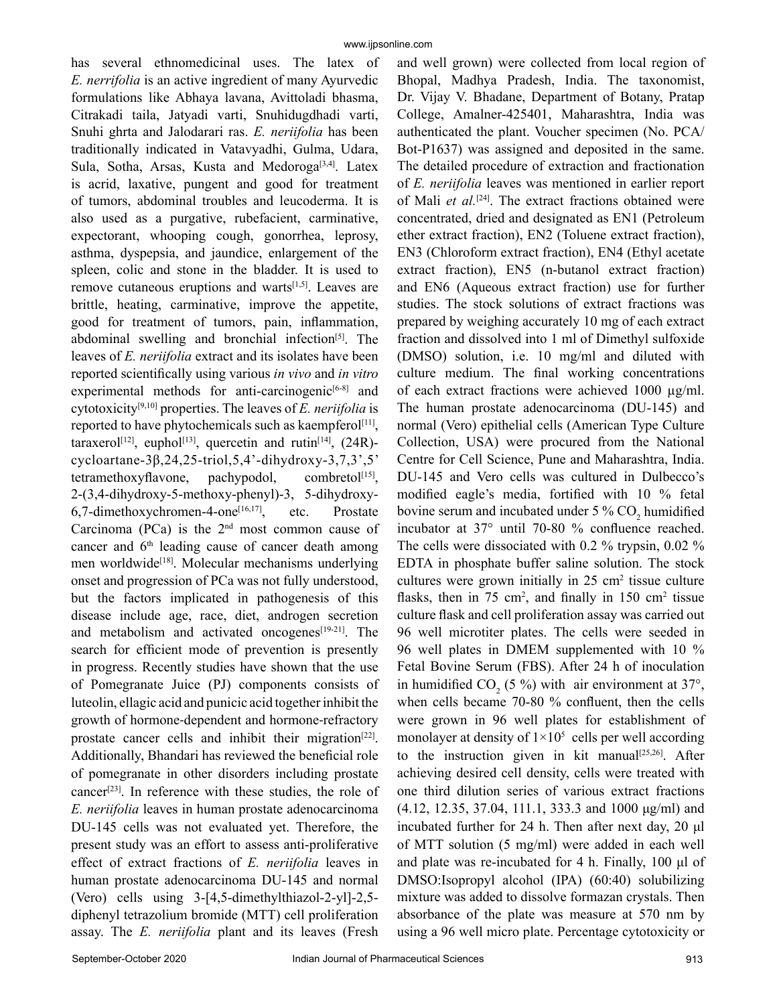has several ethnomedicinal uses. The latex of *E. nerrifolia* is an active ingredient of many Ayurvedic formulations like Abhaya lavana, Avittoladi bhasma, Citrakadi taila, Jatyadi varti, Snuhidugdhadi varti, Snuhi ghrta and Jalodarari ras. *E. neriifolia* has been traditionally indicated in Vatavyadhi, Gulma, Udara, Sula, Sotha, Arsas, Kusta and Medoroga<sup>[3,4]</sup>. Latex is acrid, laxative, pungent and good for treatment of tumors, abdominal troubles and leucoderma. It is also used as a purgative, rubefacient, carminative, expectorant, whooping cough, gonorrhea, leprosy, asthma, dyspepsia, and jaundice, enlargement of the spleen, colic and stone in the bladder. It is used to remove cutaneous eruptions and warts<sup>[1,5]</sup>. Leaves are brittle, heating, carminative, improve the appetite, good for treatment of tumors, pain, inflammation, abdominal swelling and bronchial infection<sup>[5]</sup>. The leaves of *E. neriifolia* extract and its isolates have been reported scientifically using various *in vivo* and *in vitro* experimental methods for anti-carcinogenic<sup>[6-8]</sup> and cytotoxicity[9,10] properties. The leaves of *E. neriifolia* is reported to have phytochemicals such as kaempferol<sup>[11]</sup>, taraxerol<sup>[12]</sup>, euphol<sup>[13]</sup>, quercetin and rutin<sup>[14]</sup>, (24R)cycloartane-3β,24,25-triol,5,4'-dihydroxy-3,7,3',5' tetramethoxyflavone, pachypodol, combretol<sup>[15]</sup>, 2-(3,4-dihydroxy-5-methoxy-phenyl)-3, 5-dihydroxy-6,7-dimethoxychromen-4-one<sup>[16,17]</sup>, etc. Prostate Carcinoma (PCa) is the  $2<sup>nd</sup>$  most common cause of cancer and  $6<sup>th</sup>$  leading cause of cancer death among men worldwide<sup>[18]</sup>. Molecular mechanisms underlying onset and progression of PCa was not fully understood, but the factors implicated in pathogenesis of this disease include age, race, diet, androgen secretion and metabolism and activated oncogenes<sup>[19-21]</sup>. The search for efficient mode of prevention is presently in progress. Recently studies have shown that the use of Pomegranate Juice (PJ) components consists of luteolin, ellagic acid and punicic acid together inhibit the growth of hormone‑dependent and hormone‑refractory prostate cancer cells and inhibit their migration<sup>[22]</sup>. Additionally, Bhandari has reviewed the beneficial role of pomegranate in other disorders including prostate cancer<sup>[23]</sup>. In reference with these studies, the role of *E. neriifolia* leaves in human prostate adenocarcinoma DU-145 cells was not evaluated yet. Therefore, the present study was an effort to assess anti-proliferative effect of extract fractions of *E. neriifolia* leaves in human prostate adenocarcinoma DU-145 and normal (Vero) cells using 3-[4,5-dimethylthiazol-2-yl]-2,5 diphenyl tetrazolium bromide (MTT) cell proliferation assay. The *E. neriifolia* plant and its leaves (Fresh

and well grown) were collected from local region of Bhopal, Madhya Pradesh, India. The taxonomist, Dr. Vijay V. Bhadane, Department of Botany, Pratap College, Amalner-425401, Maharashtra, India was authenticated the plant. Voucher specimen (No. PCA/ Bot-P1637) was assigned and deposited in the same. The detailed procedure of extraction and fractionation of *E. neriifolia* leaves was mentioned in earlier report of Mali *et al.*<sup>[24]</sup>. The extract fractions obtained were concentrated, dried and designated as EN1 (Petroleum ether extract fraction), EN2 (Toluene extract fraction), EN3 (Chloroform extract fraction), EN4 (Ethyl acetate extract fraction), EN5 (n-butanol extract fraction) and EN6 (Aqueous extract fraction) use for further studies. The stock solutions of extract fractions was prepared by weighing accurately 10 mg of each extract fraction and dissolved into 1 ml of Dimethyl sulfoxide (DMSO) solution, i.e. 10 mg/ml and diluted with culture medium. The final working concentrations of each extract fractions were achieved 1000 µg/ml. The human prostate adenocarcinoma (DU-145) and normal (Vero) epithelial cells (American Type Culture Collection, USA) were procured from the National Centre for Cell Science, Pune and Maharashtra, India. DU-145 and Vero cells was cultured in Dulbecco's modified eagle's media, fortified with 10 % fetal bovine serum and incubated under  $5\%$  CO<sub>2</sub> humidified incubator at 37° until 70-80 % confluence reached. The cells were dissociated with 0.2 % trypsin, 0.02 % EDTA in phosphate buffer saline solution. The stock cultures were grown initially in  $25 \text{ cm}^2$  tissue culture flasks, then in  $75 \text{ cm}^2$ , and finally in  $150 \text{ cm}^2$  tissue culture flask and cell proliferation assay was carried out 96 well microtiter plates. The cells were seeded in 96 well plates in DMEM supplemented with 10 % Fetal Bovine Serum (FBS). After 24 h of inoculation in humidified  $CO_2$  (5 %) with air environment at 37°, when cells became 70-80 % confluent, then the cells were grown in 96 well plates for establishment of monolayer at density of  $1 \times 10^5$  cells per well according to the instruction given in kit manual<sup>[25,26]</sup>. After achieving desired cell density, cells were treated with one third dilution series of various extract fractions (4.12, 12.35, 37.04, 111.1, 333.3 and 1000 μg/ml) and incubated further for 24 h. Then after next day, 20 μl of MTT solution (5 mg/ml) were added in each well and plate was re-incubated for 4 h. Finally, 100 μl of DMSO:Isopropyl alcohol (IPA) (60:40) solubilizing mixture was added to dissolve formazan crystals. Then absorbance of the plate was measure at 570 nm by using a 96 well micro plate. Percentage cytotoxicity or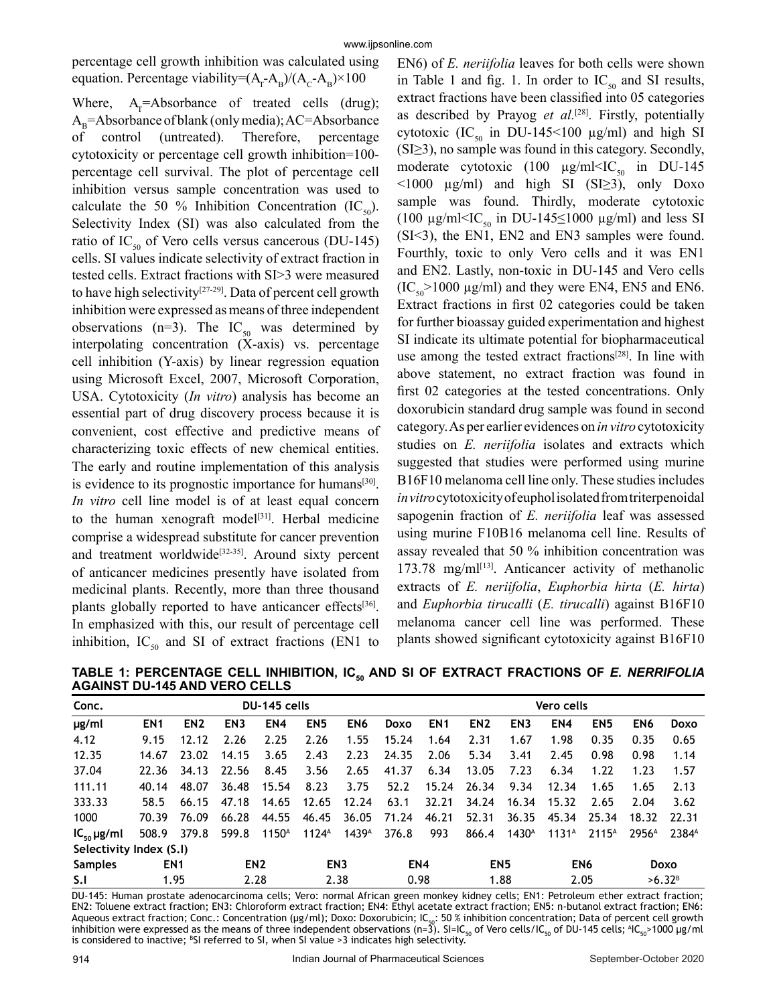percentage cell growth inhibition was calculated using equation. Percentage viability= $(A_{r} - A_{B})/(A_{c} - A_{B}) \times 100$ 

Where,  $A_r = Absorbance$  of treated cells (drug);  $A_B =$ Absorbance of blank (only media); AC=Absorbance of control (untreated). Therefore, percentage cytotoxicity or percentage cell growth inhibition=100 percentage cell survival. The plot of percentage cell inhibition versus sample concentration was used to calculate the 50 % Inhibition Concentration (IC<sub>50</sub>). Selectivity Index (SI) was also calculated from the ratio of IC<sub>50</sub> of Vero cells versus cancerous (DU-145) cells. SI values indicate selectivity of extract fraction in tested cells. Extract fractions with SI>3 were measured to have high selectivity<sup>[27-29]</sup>. Data of percent cell growth inhibition were expressed as means of three independent observations (n=3). The  $IC_{50}$  was determined by interpolating concentration (X-axis) vs. percentage cell inhibition (Y-axis) by linear regression equation using Microsoft Excel, 2007, Microsoft Corporation, USA. Cytotoxicity (*In vitro*) analysis has become an essential part of drug discovery process because it is convenient, cost effective and predictive means of characterizing toxic effects of new chemical entities. The early and routine implementation of this analysis is evidence to its prognostic importance for humans<sup>[30]</sup>. *In vitro* cell line model is of at least equal concern to the human xenograft model<sup>[31]</sup>. Herbal medicine comprise a widespread substitute for cancer prevention and treatment worldwide<sup>[32-35]</sup>. Around sixty percent of anticancer medicines presently have isolated from medicinal plants. Recently, more than three thousand plants globally reported to have anticancer effects<sup>[36]</sup>. In emphasized with this, our result of percentage cell inhibition,  $IC_{50}$  and SI of extract fractions (EN1 to

EN6) of *E. neriifolia* leaves for both cells were shown in Table 1 and fig. 1. In order to  $IC_{50}$  and SI results, extract fractions have been classified into 05 categories as described by Prayog *et al.*[28]. Firstly, potentially cytotoxic (IC<sub>50</sub> in DU-145<100  $\mu$ g/ml) and high SI (SI≥3), no sample was found in this category. Secondly, moderate cytotoxic (100  $\mu$ g/ml IC<sub>50</sub> in DU-145  $\leq 1000$  µg/ml) and high SI (SI $\geq 3$ ), only Doxo sample was found. Thirdly, moderate cytotoxic (100  $\mu$ g/ml<IC<sub>50</sub> in DU-145≤1000  $\mu$ g/ml) and less SI (SI˂3), the EN1, EN2 and EN3 samples were found. Fourthly, toxic to only Vero cells and it was EN1 and EN2. Lastly, non-toxic in DU-145 and Vero cells  $(IC_{50} > 1000 \mu g/ml)$  and they were EN4, EN5 and EN6. Extract fractions in first 02 categories could be taken for further bioassay guided experimentation and highest SI indicate its ultimate potential for biopharmaceutical use among the tested extract fractions<sup>[28]</sup>. In line with above statement, no extract fraction was found in first 02 categories at the tested concentrations. Only doxorubicin standard drug sample was found in second category. As per earlier evidences on *in vitro* cytotoxicity studies on *E. neriifolia* isolates and extracts which suggested that studies were performed using murine B16F10 melanoma cell line only. These studies includes *in vitro* cytotoxicity of euphol isolated from triterpenoidal sapogenin fraction of *E. neriifolia* leaf was assessed using murine F10B16 melanoma cell line. Results of assay revealed that 50 % inhibition concentration was  $173.78$  mg/ml<sup>[13]</sup>. Anticancer activity of methanolic extracts of *E. neriifolia*, *Euphorbia hirta* (*E. hirta*) and *Euphorbia tirucalli* (*E. tirucalli*) against B16F10 melanoma cancer cell line was performed. These plants showed significant cytotoxicity against B16F10

TABLE 1: PERCENTAGE CELL INHIBITION, IC<sub>50</sub> AND SI OF EXTRACT FRACTIONS OF *E. NERRIFOLIA* **AGAINST DU-145 AND VERO CELLS**

| Conc.                   | DU-145 cells    |                 |                 |                   |                   |                   |       | Vero cells      |                 |                 |                 |                   |                    |                   |
|-------------------------|-----------------|-----------------|-----------------|-------------------|-------------------|-------------------|-------|-----------------|-----------------|-----------------|-----------------|-------------------|--------------------|-------------------|
| µg/ml                   | EN <sub>1</sub> | EN <sub>2</sub> | EN <sub>3</sub> | EN <sub>4</sub>   | EN <sub>5</sub>   | EN <sub>6</sub>   | Doxo  | EN <sub>1</sub> | EN <sub>2</sub> | EN <sub>3</sub> | EN4             | EN <sub>5</sub>   | EN <sub>6</sub>    | Doxo              |
| 4.12                    | 9.15            | 12.12           | 2.26            | 2.25              | 2.26              | 1.55              | 15.24 | 1.64            | 2.31            | 1.67            | 1.98            | 0.35              | 0.35               | 0.65              |
| 12.35                   | 14.67           | 23.02           | 14.15           | 3.65              | 2.43              | 2.23              | 24.35 | 2.06            | 5.34            | 3.41            | 2.45            | 0.98              | 0.98               | 1.14              |
| 37.04                   | 22.36           | 34.13           | 22.56           | 8.45              | 3.56              | 2.65              | 41.37 | 6.34            | 13.05           | 7.23            | 6.34            | 1.22              | 1.23               | 1.57              |
| 111.11                  | 40.14           | 48.07           | 36.48           | 15.54             | 8.23              | 3.75              | 52.2  | 15.24           | 26.34           | 9.34            | 12.34           | 1.65              | 1.65               | 2.13              |
| 333.33                  | 58.5            | 66.15           | 47.18           | 14.65             | 12.65             | 12.24             | 63.1  | 32.21           | 34.24           | 16.34           | 15.32           | 2.65              | 2.04               | 3.62              |
| 1000                    | 70.39           | 76.09           | 66.28           | 44.55             | 46.45             | 36.05             | 71.24 | 46.21           | 52.31           | 36.35           | 45.34           | 25.34             | 18.32              | 22.31             |
| $IC_{50} \mu g/ml$      | 508.9           | 379.8           | 599.8           | 1150 <sup>A</sup> | $1124^{\text{A}}$ | 1439 <sup>A</sup> | 376.8 | 993             | 866.4           | $1430^{\circ}$  | $1131^A$        | 2115 <sup>A</sup> | 2956 <sup>A</sup>  | 2384 <sup>A</sup> |
| Selectivity Index (S.I) |                 |                 |                 |                   |                   |                   |       |                 |                 |                 |                 |                   |                    |                   |
| <b>Samples</b>          | EN <sub>1</sub> |                 | EN <sub>2</sub> |                   | EN <sub>3</sub>   |                   | EN4   |                 | EN <sub>5</sub> |                 | EN <sub>6</sub> |                   | Doxo               |                   |
| S.I                     | 1.95            |                 | 2.28            |                   | 2.38              |                   | 0.98  |                 | 1.88            |                 | 2.05            |                   | >6.32 <sup>B</sup> |                   |

DU-145: Human prostate adenocarcinoma cells; Vero: normal African green monkey kidney cells; EN1: Petroleum ether extract fraction; EN2: Toluene extract fraction; EN3: Chloroform extract fraction; EN4: Ethyl acetate extract fraction; EN5: n-butanol extract fraction; EN6: Aqueous extract fraction; Conc.: Concentration (µg/ml); Doxo: Doxorubicin; IC<sub>50</sub>: 50 % inhibition concentration; Data of percent cell growth inhibition were expressed as the means of three independent observations (n=3). SI=IC<sub>50</sub> of Vero cells/IC<sub>50</sub> of DU-145 cells; <sup>A</sup>IC<sub>50</sub>>1000 µg/ml is considered to inactive;  ${}^{8}S1$  referred to SI, when SI value >3 indicates high selectivity.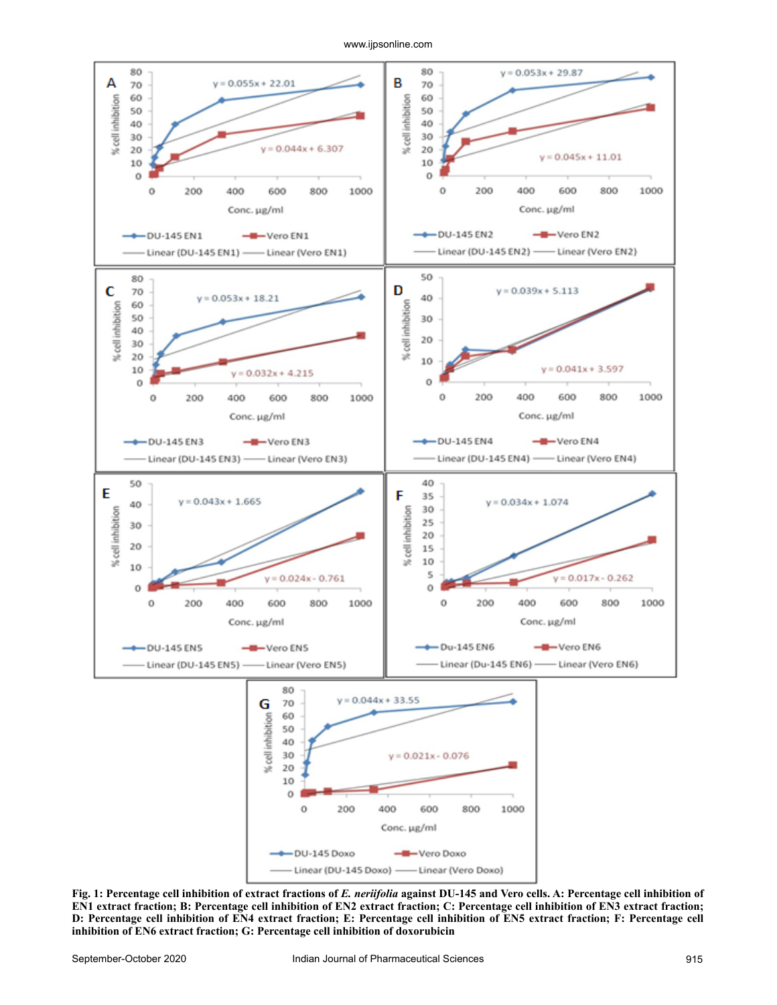www.ijpsonline.com



**Fig. 1: Percentage cell inhibition of extract fractions of** *E. neriifolia* **against DU-145 and Vero cells. A: Percentage cell inhibition of EN1 extract fraction; B: Percentage cell inhibition of EN2 extract fraction; C: Percentage cell inhibition of EN3 extract fraction; D: Percentage cell inhibition of EN4 extract fraction; E: Percentage cell inhibition of EN5 extract fraction; F: Percentage cell inhibition of EN6 extract fraction; G: Percentage cell inhibition of doxorubicin**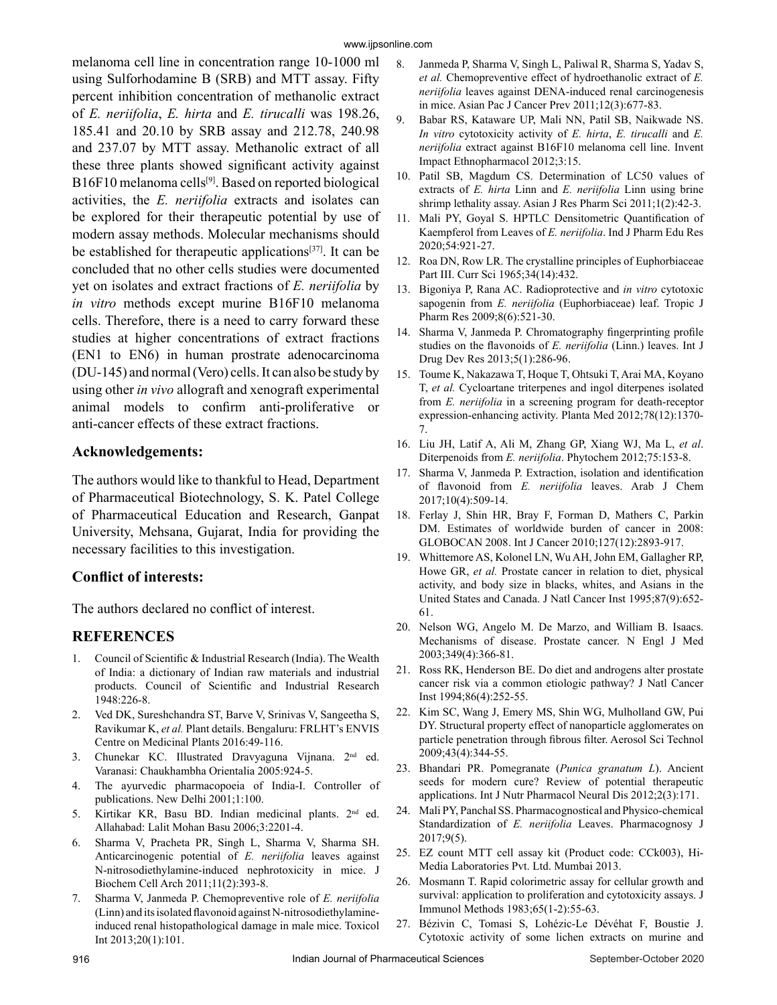melanoma cell line in concentration range 10-1000 ml using Sulforhodamine B (SRB) and MTT assay. Fifty percent inhibition concentration of methanolic extract of *E. neriifolia*, *E. hirta* and *E. tirucalli* was 198.26, 185.41 and 20.10 by SRB assay and 212.78, 240.98 and 237.07 by MTT assay. Methanolic extract of all these three plants showed significant activity against B16F10 melanoma cells<sup>[9]</sup>. Based on reported biological activities, the *E. neriifolia* extracts and isolates can be explored for their therapeutic potential by use of modern assay methods. Molecular mechanisms should be established for therapeutic applications[37]. It can be concluded that no other cells studies were documented yet on isolates and extract fractions of *E. neriifolia* by *in vitro* methods except murine B16F10 melanoma cells. Therefore, there is a need to carry forward these studies at higher concentrations of extract fractions (EN1 to EN6) in human prostrate adenocarcinoma (DU-145) and normal (Vero) cells. It can also be study by using other *in vivo* allograft and xenograft experimental animal models to confirm anti-proliferative or anti-cancer effects of these extract fractions.

#### **Acknowledgements:**

The authors would like to thankful to Head, Department of Pharmaceutical Biotechnology, S. K. Patel College of Pharmaceutical Education and Research, Ganpat University, Mehsana, Gujarat, India for providing the necessary facilities to this investigation.

### **Conflict of interests:**

The authors declared no conflict of interest.

## **REFERENCES**

- 1. Council of Scientific & Industrial Research (India). The Wealth of India: a dictionary of Indian raw materials and industrial products. Council of Scientific and Industrial Research 1948:226-8.
- Ved DK, Sureshchandra ST, Barve V, Srinivas V, Sangeetha S, Ravikumar K, *et al.* Plant details. Bengaluru: FRLHT's ENVIS Centre on Medicinal Plants 2016:49-116.
- 3. Chunekar KC. Illustrated Dravyaguna Vijnana. 2<sup>nd</sup> ed. Varanasi: Chaukhambha Orientalia 2005:924-5.
- 4. The ayurvedic pharmacopoeia of India-I. Controller of publications. New Delhi 2001;1:100.
- 5. Kirtikar KR, Basu BD. Indian medicinal plants. 2nd ed. Allahabad: Lalit Mohan Basu 2006;3:2201-4.
- 6. Sharma V, Pracheta PR, Singh L, Sharma V, Sharma SH. Anticarcinogenic potential of *E. neriifolia* leaves against N-nitrosodiethylamine-induced nephrotoxicity in mice. J Biochem Cell Arch 2011;11(2):393-8.
- 7. Sharma V, Janmeda P. Chemopreventive role of *E. neriifolia* (Linn) and its isolated flavonoid against N-nitrosodiethylamineinduced renal histopathological damage in male mice. Toxicol Int 2013;20(1):101.
- 8. Janmeda P, Sharma V, Singh L, Paliwal R, Sharma S, Yadav S, *et al.* Chemopreventive effect of hydroethanolic extract of *E. neriifolia* leaves against DENA-induced renal carcinogenesis in mice. Asian Pac J Cancer Prev 2011;12(3):677-83.
- 9. Babar RS, Kataware UP, Mali NN, Patil SB, Naikwade NS. *In vitro* cytotoxicity activity of *E. hirta*, *E. tirucalli* and *E. neriifolia* extract against B16F10 melanoma cell line. Invent Impact Ethnopharmacol 2012;3:15.
- 10. Patil SB, Magdum CS. Determination of LC50 values of extracts of *E. hirta* Linn and *E. neriifolia* Linn using brine shrimp lethality assay. Asian J Res Pharm Sci 2011;1(2):42-3.
- 11. Mali PY, Goyal S. HPTLC Densitometric Quantification of Kaempferol from Leaves of *E. neriifolia*. Ind J Pharm Edu Res 2020;54:921-27.
- 12. Roa DN, Row LR. The crystalline principles of Euphorbiaceae Part III. Curr Sci 1965;34(14):432.
- 13. Bigoniya P, Rana AC. Radioprotective and *in vitro* cytotoxic sapogenin from *E. neriifolia* (Euphorbiaceae) leaf. Tropic J Pharm Res 2009;8(6):521-30.
- 14. Sharma V, Janmeda P. Chromatography fingerprinting profile studies on the flavonoids of *E. neriifolia* (Linn.) leaves. Int J Drug Dev Res 2013;5(1):286-96.
- 15. Toume K, Nakazawa T, Hoque T, Ohtsuki T, Arai MA, Koyano T, *et al.* Cycloartane triterpenes and ingol diterpenes isolated from *E. neriifolia* in a screening program for death-receptor expression-enhancing activity. Planta Med 2012;78(12):1370- 7.
- 16. Liu JH, Latif A, Ali M, Zhang GP, Xiang WJ, Ma L, *et al*. Diterpenoids from *E. neriifolia*. Phytochem 2012;75:153-8.
- 17. Sharma V, Janmeda P. Extraction, isolation and identification of flavonoid from *E. neriifolia* leaves. Arab J Chem 2017;10(4):509-14.
- 18. Ferlay J, Shin HR, Bray F, Forman D, Mathers C, Parkin DM. Estimates of worldwide burden of cancer in 2008: GLOBOCAN 2008. Int J Cancer 2010;127(12):2893-917.
- 19. Whittemore AS, Kolonel LN, Wu AH, John EM, Gallagher RP, Howe GR, *et al.* Prostate cancer in relation to diet, physical activity, and body size in blacks, whites, and Asians in the United States and Canada. J Natl Cancer Inst 1995;87(9):652- 61.
- 20. Nelson WG, Angelo M. De Marzo, and William B. Isaacs. Mechanisms of disease. Prostate cancer. N Engl J Med 2003;349(4):366-81.
- 21. Ross RK, Henderson BE. Do diet and androgens alter prostate cancer risk via a common etiologic pathway? J Natl Cancer Inst 1994;86(4):252-55.
- 22. Kim SC, Wang J, Emery MS, Shin WG, Mulholland GW, Pui DY. Structural property effect of nanoparticle agglomerates on particle penetration through fibrous filter. Aerosol Sci Technol 2009;43(4):344-55.
- 23. Bhandari PR. Pomegranate (*Punica granatum L*). Ancient seeds for modern cure? Review of potential therapeutic applications. Int J Nutr Pharmacol Neural Dis 2012;2(3):171.
- 24. Mali PY, Panchal SS. Pharmacognostical and Physico-chemical Standardization of *E. neriifolia* Leaves. Pharmacognosy J 2017;9(5).
- 25. EZ count MTT cell assay kit (Product code: CCk003), Hi-Media Laboratories Pvt. Ltd. Mumbai 2013.
- 26. Mosmann T. Rapid colorimetric assay for cellular growth and survival: application to proliferation and cytotoxicity assays. J Immunol Methods 1983;65(1-2):55-63.
- 27. Bézivin C, Tomasi S, Lohézic-Le Dévéhat F, Boustie J. Cytotoxic activity of some lichen extracts on murine and